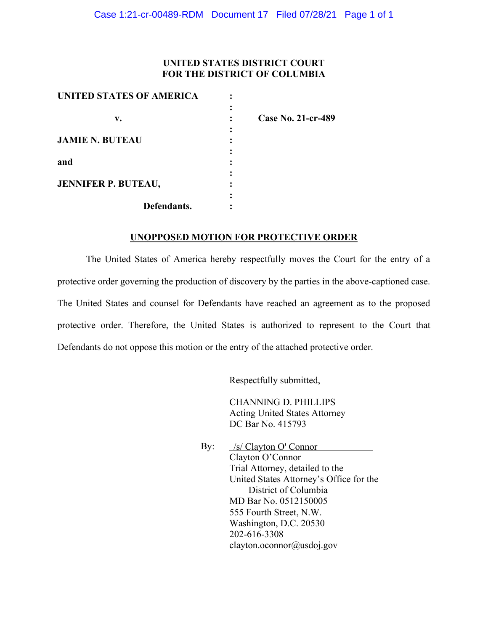### **UNITED STATES DISTRICT COURT FOR THE DISTRICT OF COLUMBIA**

| <b>UNITED STATES OF AMERICA</b> |                    |
|---------------------------------|--------------------|
|                                 |                    |
| v.                              | Case No. 21-cr-489 |
|                                 |                    |
| <b>JAMIE N. BUTEAU</b>          |                    |
|                                 |                    |
| and                             |                    |
|                                 |                    |
| <b>JENNIFER P. BUTEAU,</b>      |                    |
|                                 |                    |
| Defendants.                     |                    |

## **UNOPPOSED MOTION FOR PROTECTIVE ORDER**

The United States of America hereby respectfully moves the Court for the entry of a protective order governing the production of discovery by the parties in the above-captioned case. The United States and counsel for Defendants have reached an agreement as to the proposed protective order. Therefore, the United States is authorized to represent to the Court that Defendants do not oppose this motion or the entry of the attached protective order.

Respectfully submitted,

CHANNING D. PHILLIPS Acting United States Attorney DC Bar No. 415793

By: Clayton O'Connor Trial Attorney, detailed to the United States Attorney's Office for the District of Columbia MD Bar No. 0512150005 555 Fourth Street, N.W. Washington, D.C. 20530 202-616-3308 clayton.oconnor@usdoj.gov /s/ Clayton O' Connor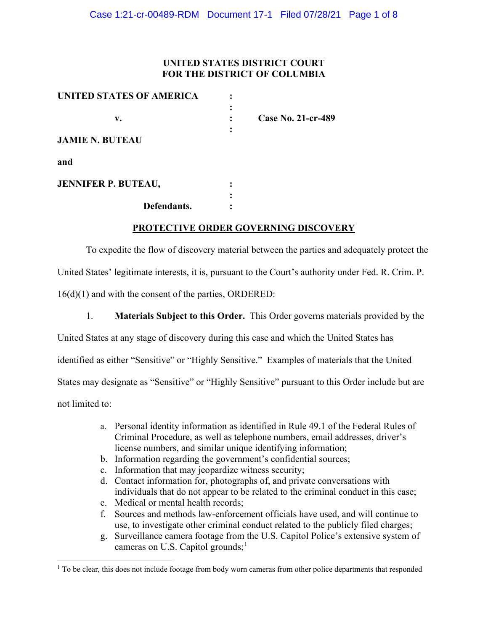## **UNITED STATES DISTRICT COURT FOR THE DISTRICT OF COLUMBIA**

| UNITED STATES OF AMERICA   |                           |
|----------------------------|---------------------------|
|                            |                           |
| v.                         | <b>Case No. 21-cr-489</b> |
|                            |                           |
| <b>JAMIE N. BUTEAU</b>     |                           |
| and                        |                           |
| <b>JENNIFER P. BUTEAU,</b> |                           |
|                            |                           |
| Defendants.                |                           |

## **PROTECTIVE ORDER GOVERNING DISCOVERY**

To expedite the flow of discovery material between the parties and adequately protect the United States' legitimate interests, it is, pursuant to the Court's authority under Fed. R. Crim. P. 16(d)(1) and with the consent of the parties, ORDERED:

1. **Materials Subject to this Order.** This Order governs materials provided by the

United States at any stage of discovery during this case and which the United States has

identified as either "Sensitive" or "Highly Sensitive." Examples of materials that the United

States may designate as "Sensitive" or "Highly Sensitive" pursuant to this Order include but are

not limited to:

- a. Personal identity information as identified in Rule 49.1 of the Federal Rules of Criminal Procedure, as well as telephone numbers, email addresses, driver's license numbers, and similar unique identifying information;
- b. Information regarding the government's confidential sources;
- c. Information that may jeopardize witness security;
- d. Contact information for, photographs of, and private conversations with individuals that do not appear to be related to the criminal conduct in this case;
- e. Medical or mental health records;
- f. Sources and methods law-enforcement officials have used, and will continue to use, to investigate other criminal conduct related to the publicly filed charges;
- g. Surveillance camera footage from the U.S. Capitol Police's extensive system of cameras on U.S. Capitol grounds;<sup>1</sup>

<sup>&</sup>lt;sup>1</sup> To be clear, this does not include footage from body worn cameras from other police departments that responded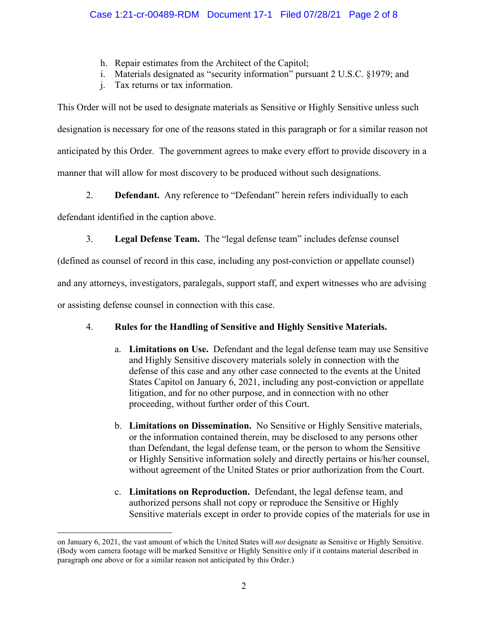- h. Repair estimates from the Architect of the Capitol;
- i. Materials designated as "security information" pursuant 2 U.S.C. §1979; and
- j. Tax returns or tax information.

This Order will not be used to designate materials as Sensitive or Highly Sensitive unless such designation is necessary for one of the reasons stated in this paragraph or for a similar reason not anticipated by this Order. The government agrees to make every effort to provide discovery in a manner that will allow for most discovery to be produced without such designations.

2. **Defendant.** Any reference to "Defendant" herein refers individually to each

defendant identified in the caption above.

3. **Legal Defense Team.** The "legal defense team" includes defense counsel

(defined as counsel of record in this case, including any post-conviction or appellate counsel)

and any attorneys, investigators, paralegals, support staff, and expert witnesses who are advising

or assisting defense counsel in connection with this case.

# 4. **Rules for the Handling of Sensitive and Highly Sensitive Materials.**

- a. **Limitations on Use.** Defendant and the legal defense team may use Sensitive and Highly Sensitive discovery materials solely in connection with the defense of this case and any other case connected to the events at the United States Capitol on January 6, 2021, including any post-conviction or appellate litigation, and for no other purpose, and in connection with no other proceeding, without further order of this Court.
- b. **Limitations on Dissemination.** No Sensitive or Highly Sensitive materials, or the information contained therein, may be disclosed to any persons other than Defendant, the legal defense team, or the person to whom the Sensitive or Highly Sensitive information solely and directly pertains or his/her counsel, without agreement of the United States or prior authorization from the Court.
- c. **Limitations on Reproduction.** Defendant, the legal defense team, and authorized persons shall not copy or reproduce the Sensitive or Highly Sensitive materials except in order to provide copies of the materials for use in

on January 6, 2021, the vast amount of which the United States will *not* designate as Sensitive or Highly Sensitive. (Body worn camera footage will be marked Sensitive or Highly Sensitive only if it contains material described in paragraph one above or for a similar reason not anticipated by this Order.)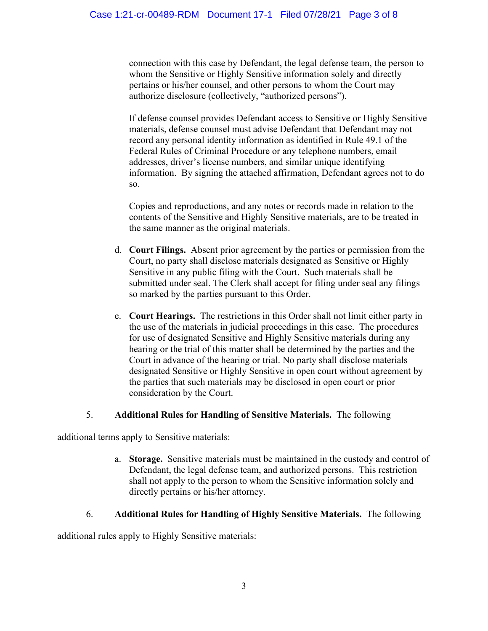connection with this case by Defendant, the legal defense team, the person to whom the Sensitive or Highly Sensitive information solely and directly pertains or his/her counsel, and other persons to whom the Court may authorize disclosure (collectively, "authorized persons").

If defense counsel provides Defendant access to Sensitive or Highly Sensitive materials, defense counsel must advise Defendant that Defendant may not record any personal identity information as identified in Rule 49.1 of the Federal Rules of Criminal Procedure or any telephone numbers, email addresses, driver's license numbers, and similar unique identifying information. By signing the attached affirmation, Defendant agrees not to do so.

Copies and reproductions, and any notes or records made in relation to the contents of the Sensitive and Highly Sensitive materials, are to be treated in the same manner as the original materials.

- d. **Court Filings.** Absent prior agreement by the parties or permission from the Court, no party shall disclose materials designated as Sensitive or Highly Sensitive in any public filing with the Court. Such materials shall be submitted under seal. The Clerk shall accept for filing under seal any filings so marked by the parties pursuant to this Order.
- e. **Court Hearings.** The restrictions in this Order shall not limit either party in the use of the materials in judicial proceedings in this case. The procedures for use of designated Sensitive and Highly Sensitive materials during any hearing or the trial of this matter shall be determined by the parties and the Court in advance of the hearing or trial. No party shall disclose materials designated Sensitive or Highly Sensitive in open court without agreement by the parties that such materials may be disclosed in open court or prior consideration by the Court.

# 5. **Additional Rules for Handling of Sensitive Materials.** The following

additional terms apply to Sensitive materials:

a. **Storage.** Sensitive materials must be maintained in the custody and control of Defendant, the legal defense team, and authorized persons. This restriction shall not apply to the person to whom the Sensitive information solely and directly pertains or his/her attorney.

# 6. **Additional Rules for Handling of Highly Sensitive Materials.** The following

additional rules apply to Highly Sensitive materials: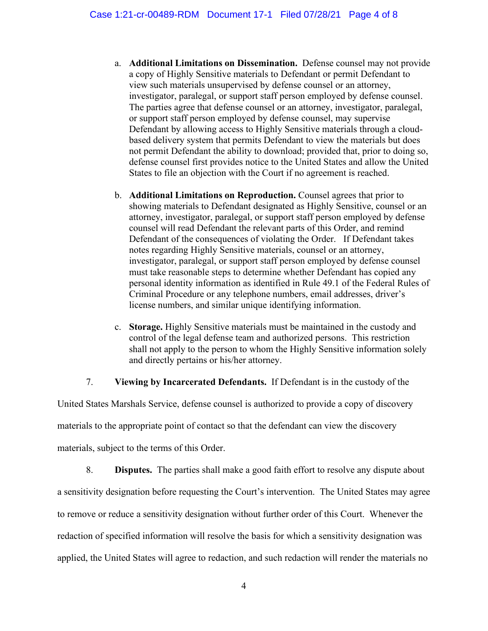- a. **Additional Limitations on Dissemination.** Defense counsel may not provide a copy of Highly Sensitive materials to Defendant or permit Defendant to view such materials unsupervised by defense counsel or an attorney, investigator, paralegal, or support staff person employed by defense counsel. The parties agree that defense counsel or an attorney, investigator, paralegal, or support staff person employed by defense counsel, may supervise Defendant by allowing access to Highly Sensitive materials through a cloudbased delivery system that permits Defendant to view the materials but does not permit Defendant the ability to download; provided that, prior to doing so, defense counsel first provides notice to the United States and allow the United States to file an objection with the Court if no agreement is reached.
- b. **Additional Limitations on Reproduction.** Counsel agrees that prior to showing materials to Defendant designated as Highly Sensitive, counsel or an attorney, investigator, paralegal, or support staff person employed by defense counsel will read Defendant the relevant parts of this Order, and remind Defendant of the consequences of violating the Order. If Defendant takes notes regarding Highly Sensitive materials, counsel or an attorney, investigator, paralegal, or support staff person employed by defense counsel must take reasonable steps to determine whether Defendant has copied any personal identity information as identified in Rule 49.1 of the Federal Rules of Criminal Procedure or any telephone numbers, email addresses, driver's license numbers, and similar unique identifying information.
- c. **Storage.** Highly Sensitive materials must be maintained in the custody and control of the legal defense team and authorized persons. This restriction shall not apply to the person to whom the Highly Sensitive information solely and directly pertains or his/her attorney.

7. **Viewing by Incarcerated Defendants.** If Defendant is in the custody of the

United States Marshals Service, defense counsel is authorized to provide a copy of discovery materials to the appropriate point of contact so that the defendant can view the discovery materials, subject to the terms of this Order.

8. **Disputes.** The parties shall make a good faith effort to resolve any dispute about a sensitivity designation before requesting the Court's intervention. The United States may agree to remove or reduce a sensitivity designation without further order of this Court. Whenever the redaction of specified information will resolve the basis for which a sensitivity designation was applied, the United States will agree to redaction, and such redaction will render the materials no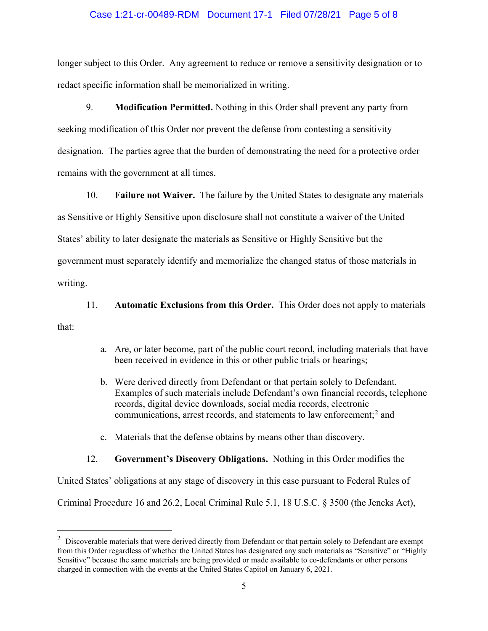#### Case 1:21-cr-00489-RDM Document 17-1 Filed 07/28/21 Page 5 of 8

longer subject to this Order. Any agreement to reduce or remove a sensitivity designation or to redact specific information shall be memorialized in writing.

9. **Modification Permitted.** Nothing in this Order shall prevent any party from seeking modification of this Order nor prevent the defense from contesting a sensitivity designation. The parties agree that the burden of demonstrating the need for a protective order remains with the government at all times.

10. **Failure not Waiver.** The failure by the United States to designate any materials as Sensitive or Highly Sensitive upon disclosure shall not constitute a waiver of the United States' ability to later designate the materials as Sensitive or Highly Sensitive but the government must separately identify and memorialize the changed status of those materials in writing.

11. **Automatic Exclusions from this Order.** This Order does not apply to materials that:

- a. Are, or later become, part of the public court record, including materials that have been received in evidence in this or other public trials or hearings;
- b. Were derived directly from Defendant or that pertain solely to Defendant. Examples of such materials include Defendant's own financial records, telephone records, digital device downloads, social media records, electronic communications, arrest records, and statements to law enforcement; <sup>2</sup> and
- c. Materials that the defense obtains by means other than discovery.

#### 12. **Government's Discovery Obligations.** Nothing in this Order modifies the

United States' obligations at any stage of discovery in this case pursuant to Federal Rules of

Criminal Procedure 16 and 26.2, Local Criminal Rule 5.1, 18 U.S.C. § 3500 (the Jencks Act),

 $2$  Discoverable materials that were derived directly from Defendant or that pertain solely to Defendant are exempt from this Order regardless of whether the United States has designated any such materials as "Sensitive" or "Highly Sensitive" because the same materials are being provided or made available to co-defendants or other persons charged in connection with the events at the United States Capitol on January 6, 2021.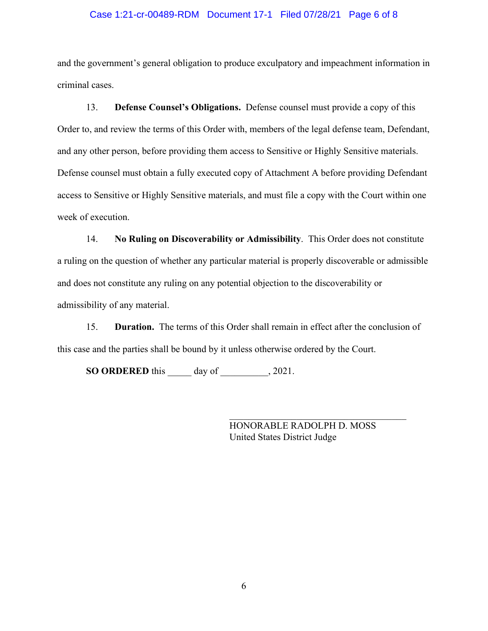#### Case 1:21-cr-00489-RDM Document 17-1 Filed 07/28/21 Page 6 of 8

and the government's general obligation to produce exculpatory and impeachment information in criminal cases.

13. **Defense Counsel's Obligations.** Defense counsel must provide a copy of this Order to, and review the terms of this Order with, members of the legal defense team, Defendant, and any other person, before providing them access to Sensitive or Highly Sensitive materials. Defense counsel must obtain a fully executed copy of Attachment A before providing Defendant access to Sensitive or Highly Sensitive materials, and must file a copy with the Court within one week of execution.

14. **No Ruling on Discoverability or Admissibility**. This Order does not constitute a ruling on the question of whether any particular material is properly discoverable or admissible and does not constitute any ruling on any potential objection to the discoverability or admissibility of any material.

15. **Duration.** The terms of this Order shall remain in effect after the conclusion of this case and the parties shall be bound by it unless otherwise ordered by the Court.

**SO ORDERED** this \_\_\_\_\_ day of \_\_\_\_\_\_\_\_\_\_, 2021.

HONORABLE RADOLPH D. MOSS United States District Judge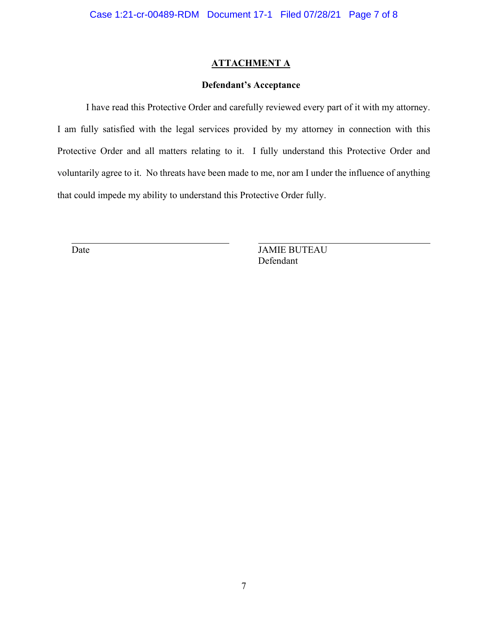## **ATTACHMENT A**

## **Defendant's Acceptance**

I have read this Protective Order and carefully reviewed every part of it with my attorney. I am fully satisfied with the legal services provided by my attorney in connection with this Protective Order and all matters relating to it. I fully understand this Protective Order and voluntarily agree to it. No threats have been made to me, nor am I under the influence of anything that could impede my ability to understand this Protective Order fully.

Date JAMIE BUTEAU Defendant